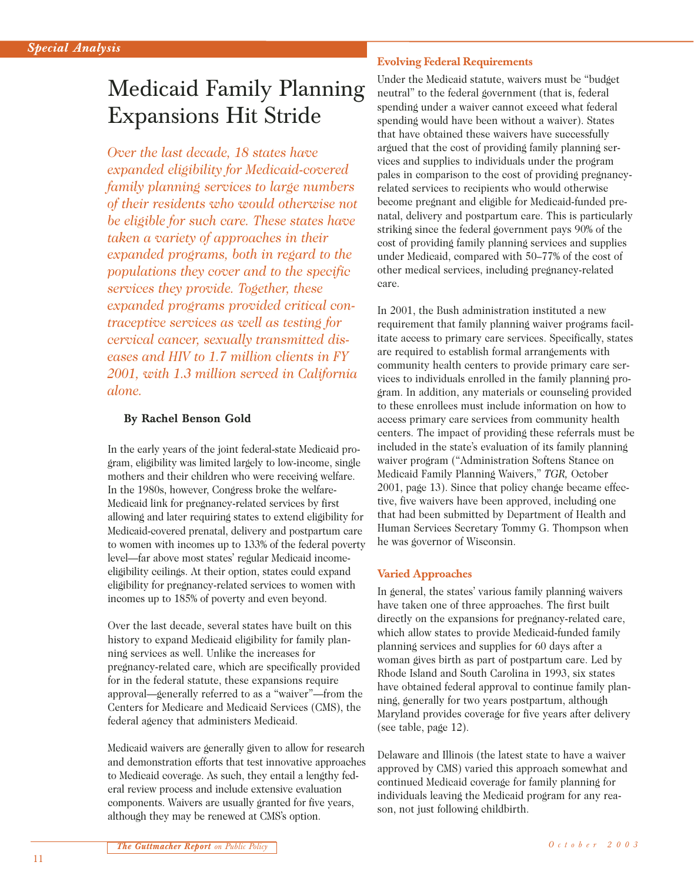# Medicaid Family Planning Expansions Hit Stride

*Over the last decade, 18 states have expanded eligibility for Medicaid-covered family planning services to large numbers of their residents who would otherwise not be eligible for such care. These states have taken a variety of approaches in their expanded programs, both in regard to the populations they cover and to the specific services they provide. Together, these expanded programs provided critical contraceptive services as well as testing for cervical cancer, sexually transmitted diseases and HIV to 1.7 million clients in FY 2001, with 1.3 million served in California alone.*

#### **By Rachel Benson Gold**

In the early years of the joint federal-state Medicaid program, eligibility was limited largely to low-income, single mothers and their children who were receiving welfare. In the 1980s, however, Congress broke the welfare-Medicaid link for pregnancy-related services by first allowing and later requiring states to extend eligibility for Medicaid-covered prenatal, delivery and postpartum care to women with incomes up to 133% of the federal poverty level—far above most states' regular Medicaid incomeeligibility ceilings. At their option, states could expand eligibility for pregnancy-related services to women with incomes up to 185% of poverty and even beyond.

Over the last decade, several states have built on this history to expand Medicaid eligibility for family planning services as well. Unlike the increases for pregnancy-related care, which are specifically provided for in the federal statute, these expansions require approval—generally referred to as a "waiver"—from the Centers for Medicare and Medicaid Services (CMS), the federal agency that administers Medicaid.

Medicaid waivers are generally given to allow for research and demonstration efforts that test innovative approaches to Medicaid coverage. As such, they entail a lengthy federal review process and include extensive evaluation components. Waivers are usually granted for five years, although they may be renewed at CMS's option.

### **Evolving Federal Requirements**

Under the Medicaid statute, waivers must be "budget neutral" to the federal government (that is, federal spending under a waiver cannot exceed what federal spending would have been without a waiver). States that have obtained these waivers have successfully argued that the cost of providing family planning services and supplies to individuals under the program pales in comparison to the cost of providing pregnancyrelated services to recipients who would otherwise become pregnant and eligible for Medicaid-funded prenatal, delivery and postpartum care. This is particularly striking since the federal government pays 90% of the cost of providing family planning services and supplies under Medicaid, compared with 50–77% of the cost of other medical services, including pregnancy-related care.

In 2001, the Bush administration instituted a new requirement that family planning waiver programs facilitate access to primary care services. Specifically, states are required to establish formal arrangements with community health centers to provide primary care services to individuals enrolled in the family planning program. In addition, any materials or counseling provided to these enrollees must include information on how to access primary care services from community health centers. The impact of providing these referrals must be included in the state's evaluation of its family planning waiver program ("Administration Softens Stance on Medicaid Family Planning Waivers," *TGR,* October 2001, page 13). Since that policy change became effective, five waivers have been approved, including one that had been submitted by Department of Health and Human Services Secretary Tommy G. Thompson when he was governor of Wisconsin.

# **Varied Approaches**

In general, the states' various family planning waivers have taken one of three approaches. The first built directly on the expansions for pregnancy-related care, which allow states to provide Medicaid-funded family planning services and supplies for 60 days after a woman gives birth as part of postpartum care. Led by Rhode Island and South Carolina in 1993, six states have obtained federal approval to continue family planning, generally for two years postpartum, although Maryland provides coverage for five years after delivery (see table, page 12).

Delaware and Illinois (the latest state to have a waiver approved by CMS) varied this approach somewhat and continued Medicaid coverage for family planning for individuals leaving the Medicaid program for any reason, not just following childbirth.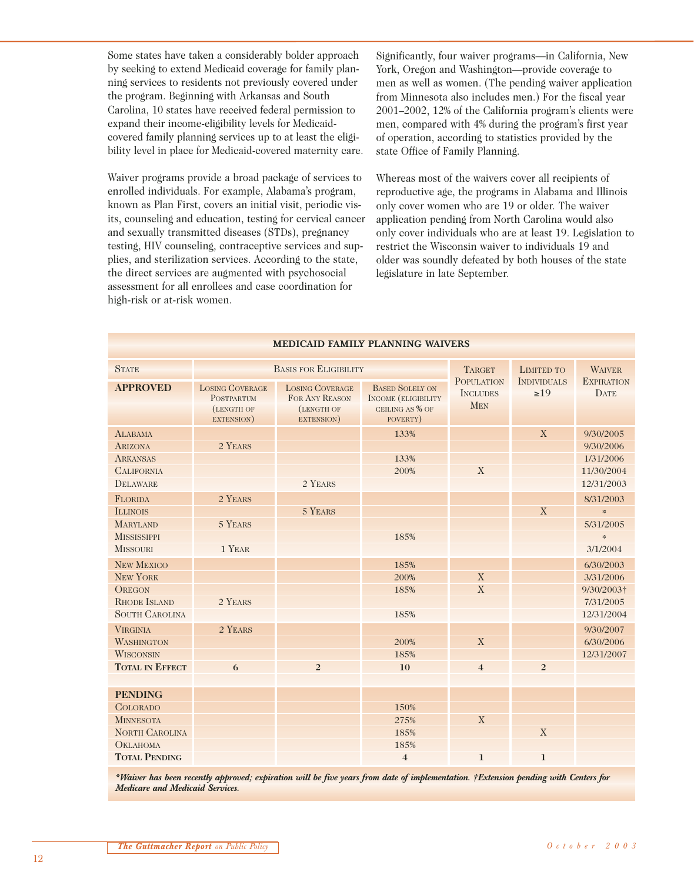Some states have taken a considerably bolder approach by seeking to extend Medicaid coverage for family planning services to residents not previously covered under the program. Beginning with Arkansas and South Carolina, 10 states have received federal permission to expand their income-eligibility levels for Medicaidcovered family planning services up to at least the eligibility level in place for Medicaid-covered maternity care.

Waiver programs provide a broad package of services to enrolled individuals. For example, Alabama's program, known as Plan First, covers an initial visit, periodic visits, counseling and education, testing for cervical cancer and sexually transmitted diseases (STDs), pregnancy testing, HIV counseling, contraceptive services and supplies, and sterilization services. According to the state, the direct services are augmented with psychosocial assessment for all enrollees and case coordination for high-risk or at-risk women.

Significantly, four waiver programs—in California, New York, Oregon and Washington—provide coverage to men as well as women. (The pending waiver application from Minnesota also includes men.) For the fiscal year 2001–2002, 12% of the California program's clients were men, compared with 4% during the program's first year of operation, according to statistics provided by the state Office of Family Planning.

Whereas most of the waivers cover all recipients of reproductive age, the programs in Alabama and Illinois only cover women who are 19 or older. The waiver application pending from North Carolina would also only cover individuals who are at least 19. Legislation to restrict the Wisconsin waiver to individuals 19 and older was soundly defeated by both houses of the state legislature in late September.

| MEDICAID FAMILI TLAINNING WAIVERS                                |                                                                         |                                                                      |                                                                                     |                                                    |                                 |                                         |  |
|------------------------------------------------------------------|-------------------------------------------------------------------------|----------------------------------------------------------------------|-------------------------------------------------------------------------------------|----------------------------------------------------|---------------------------------|-----------------------------------------|--|
| <b>STATE</b>                                                     | <b>BASIS FOR ELIGIBILITY</b>                                            |                                                                      |                                                                                     | <b>TARGET</b>                                      | <b>LIMITED TO</b>               | <b>WAIVER</b>                           |  |
| <b>APPROVED</b>                                                  | <b>LOSING COVERAGE</b><br><b>POSTPARTUM</b><br>(LENGTH OF<br>EXTENSION) | <b>LOSING COVERAGE</b><br>FOR ANY REASON<br>(LENGTH OF<br>EXTENSION) | <b>BASED SOLELY ON</b><br><b>INCOME (ELIGIBILITY</b><br>CEILING AS % OF<br>POVERTY) | <b>POPULATION</b><br><b>INCLUDES</b><br><b>MEN</b> | <b>INDIVIDUALS</b><br>$\geq 19$ | <b>EXPIRATION</b><br><b>DATE</b>        |  |
| <b>ALABAMA</b><br><b>ARIZONA</b><br><b>ARKANSAS</b>              | 2 YEARS                                                                 |                                                                      | 133%<br>133%                                                                        |                                                    | X                               | 9/30/2005<br>9/30/2006<br>1/31/2006     |  |
| <b>CALIFORNIA</b><br><b>DELAWARE</b>                             |                                                                         | 2 YEARS                                                              | 200%                                                                                | X                                                  |                                 | 11/30/2004<br>12/31/2003                |  |
| <b>FLORIDA</b><br><b>ILLINOIS</b><br><b>MARYLAND</b>             | 2 YEARS<br>5 YEARS                                                      | 5 YEARS                                                              |                                                                                     |                                                    | X                               | 8/31/2003<br>$\frac{1}{2}$<br>5/31/2005 |  |
| <b>MISSISSIPPI</b><br><b>MISSOURI</b>                            | 1 YEAR                                                                  |                                                                      | 185%                                                                                |                                                    |                                 | $\frac{1}{2}$<br>3/1/2004               |  |
| <b>NEW MEXICO</b><br><b>NEW YORK</b>                             |                                                                         |                                                                      | 185%<br>200%                                                                        | X                                                  |                                 | 6/30/2003<br>3/31/2006                  |  |
| <b>OREGON</b><br><b>RHODE ISLAND</b><br><b>SOUTH CAROLINA</b>    | 2 YEARS                                                                 |                                                                      | 185%<br>185%                                                                        | $\mathbf X$                                        |                                 | 9/30/2003†<br>7/31/2005<br>12/31/2004   |  |
| <b>VIRGINIA</b><br><b>WASHINGTON</b>                             | 2 YEARS                                                                 |                                                                      | 200%                                                                                | X                                                  |                                 | 9/30/2007<br>6/30/2006                  |  |
| <b>WISCONSIN</b><br><b>TOTAL IN EFFECT</b>                       | 6                                                                       | $\overline{2}$                                                       | 185%<br>10                                                                          | $\overline{4}$                                     | $\overline{2}$                  | 12/31/2007                              |  |
| <b>PENDING</b>                                                   |                                                                         |                                                                      |                                                                                     |                                                    |                                 |                                         |  |
| <b>COLORADO</b><br><b>MINNESOTA</b>                              |                                                                         |                                                                      | 150%<br>275%                                                                        | X                                                  |                                 |                                         |  |
| <b>NORTH CAROLINA</b><br><b>ОКLAHOMA</b><br><b>TOTAL PENDING</b> |                                                                         |                                                                      | 185%<br>185%<br>$\overline{\mathbf{4}}$                                             | $\mathbf{1}$                                       | X<br>$\mathbf{1}$               |                                         |  |

**MEDICAID FAMILY PLANNING WAIVERS**

*\*Waiver has been recently approved; expiration will be five years from date of implementation. †Extension pending with Centers for Medicare and Medicaid Services.*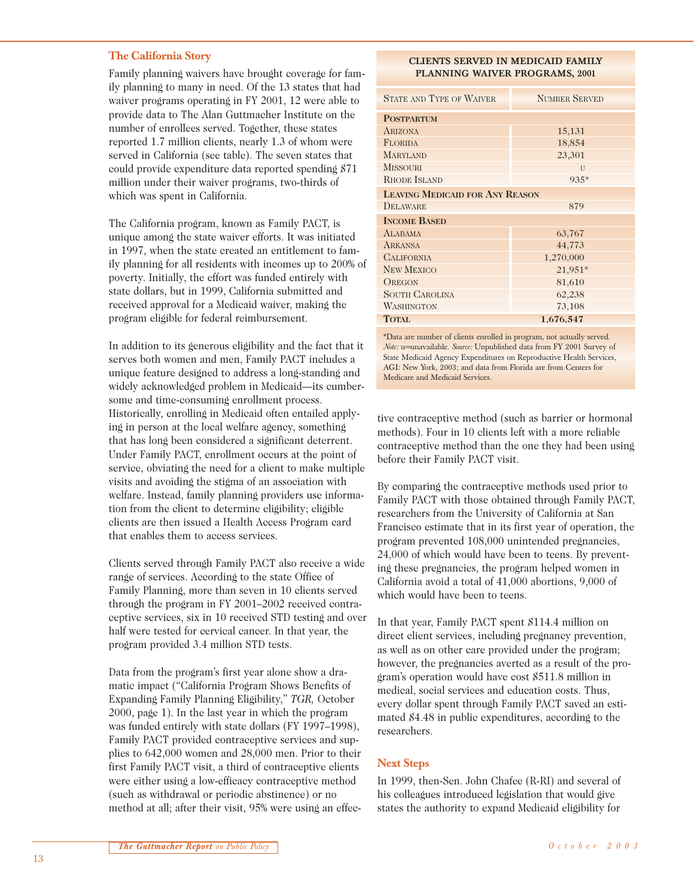#### **The California Story**

Family planning waivers have brought coverage for family planning to many in need. Of the 13 states that had waiver programs operating in FY 2001, 12 were able to provide data to The Alan Guttmacher Institute on the number of enrollees served. Together, these states reported 1.7 million clients, nearly 1.3 of whom were served in California (see table). The seven states that could provide expenditure data reported spending \$71 million under their waiver programs, two-thirds of which was spent in California.

The California program, known as Family PACT, is unique among the state waiver efforts. It was initiated in 1997, when the state created an entitlement to family planning for all residents with incomes up to 200% of poverty. Initially, the effort was funded entirely with state dollars, but in 1999, California submitted and received approval for a Medicaid waiver, making the program eligible for federal reimbursement.

In addition to its generous eligibility and the fact that it serves both women and men, Family PACT includes a unique feature designed to address a long-standing and widely acknowledged problem in Medicaid—its cumbersome and time-consuming enrollment process. Historically, enrolling in Medicaid often entailed applying in person at the local welfare agency, something that has long been considered a significant deterrent. Under Family PACT, enrollment occurs at the point of service, obviating the need for a client to make multiple visits and avoiding the stigma of an association with welfare. Instead, family planning providers use information from the client to determine eligibility; eligible clients are then issued a Health Access Program card that enables them to access services.

Clients served through Family PACT also receive a wide range of services. According to the state Office of Family Planning, more than seven in 10 clients served through the program in FY 2001–2002 received contraceptive services, six in 10 received STD testing and over half were tested for cervical cancer. In that year, the program provided 3.4 million STD tests.

Data from the program's first year alone show a dramatic impact ("California Program Shows Benefits of Expanding Family Planning Eligibility," *TGR,* October 2000, page 1). In the last year in which the program was funded entirely with state dollars (FY 1997–1998), Family PACT provided contraceptive services and supplies to 642,000 women and 28,000 men. Prior to their first Family PACT visit, a third of contraceptive clients were either using a low-efficacy contraceptive method (such as withdrawal or periodic abstinence) or no method at all; after their visit, 95% were using an effec-

#### **CLIENTS SERVED IN MEDICAID FAMILY PLANNING WAIVER PROGRAMS, 2001**

| <b>STATE AND TYPE OF WAIVER</b>        | <b>NUMBER SERVED</b> |  |  |  |  |
|----------------------------------------|----------------------|--|--|--|--|
| <b>POSTPARTUM</b>                      |                      |  |  |  |  |
| <b>ARIZONA</b>                         | 15,131               |  |  |  |  |
| <b>FLORIDA</b>                         | 18,854               |  |  |  |  |
| <b>MARYLAND</b>                        | 23,301               |  |  |  |  |
| <b>MISSOURI</b>                        | $\overline{U}$       |  |  |  |  |
| <b>RHODE ISLAND</b>                    | $935*$               |  |  |  |  |
| <b>LEAVING MEDICAID FOR ANY REASON</b> |                      |  |  |  |  |
| DELAWARE                               | 879                  |  |  |  |  |
| <b>INCOME BASED</b>                    |                      |  |  |  |  |
| <b>ALABAMA</b>                         | 63,767               |  |  |  |  |
| <b>ARKANSA</b>                         | 44,773               |  |  |  |  |
| <b>CALIFORNIA</b>                      | 1,270,000            |  |  |  |  |
| <b>NEW MEXICO</b>                      | 21,951*              |  |  |  |  |
| <b>OREGON</b>                          | 81,610               |  |  |  |  |
| <b>SOUTH CAROLINA</b>                  | 62,238               |  |  |  |  |
| <b>WASHINGTON</b>                      | 73,108               |  |  |  |  |
| <b>TOTAL</b>                           | 1,676,547            |  |  |  |  |

\*Data are number of clients enrolled in program, not actually served. *Note:* u=unavailable. *Source:* Unpublished data from FY 2001 Survey of State Medicaid Agency Expenditures on Reproductive Health Services, AGI: New York, 2003; and data from Florida are from Centers for Medicare and Medicaid Services.

tive contraceptive method (such as barrier or hormonal methods). Four in 10 clients left with a more reliable contraceptive method than the one they had been using before their Family PACT visit.

By comparing the contraceptive methods used prior to Family PACT with those obtained through Family PACT, researchers from the University of California at San Francisco estimate that in its first year of operation, the program prevented 108,000 unintended pregnancies, 24,000 of which would have been to teens. By preventing these pregnancies, the program helped women in California avoid a total of 41,000 abortions, 9,000 of which would have been to teens.

In that year, Family PACT spent \$114.4 million on direct client services, including pregnancy prevention, as well as on other care provided under the program; however, the pregnancies averted as a result of the program's operation would have cost \$511.8 million in medical, social services and education costs. Thus, every dollar spent through Family PACT saved an estimated \$4.48 in public expenditures, according to the researchers.

# **Next Steps**

In 1999, then-Sen. John Chafee (R-RI) and several of his colleagues introduced legislation that would give states the authority to expand Medicaid eligibility for